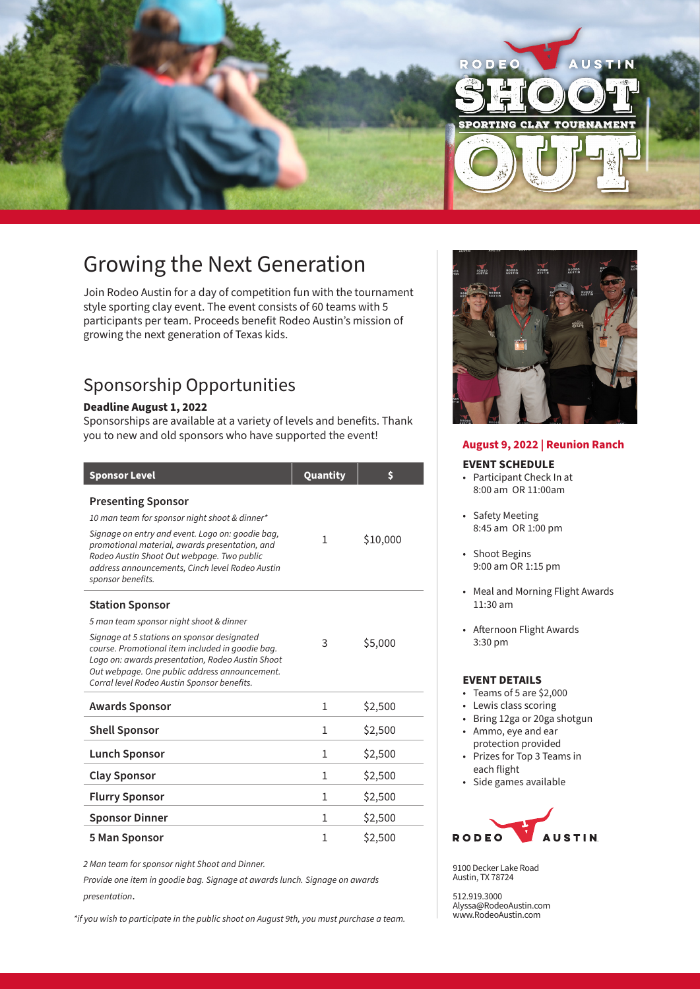

# Growing the Next Generation

Join Rodeo Austin for a day of competition fun with the tournament style sporting clay event. The event consists of 60 teams with 5 participants per team. Proceeds benefit Rodeo Austin's mission of growing the next generation of Texas kids.

# Sponsorship Opportunities

## **Deadline August 1, 2022**

Sponsorships are available at a variety of levels and benefits. Thank you to new and old sponsors who have supported the event!

| <b>Sponsor Level</b>                                                                                                                                                                                                                                | Quantity | \$       |
|-----------------------------------------------------------------------------------------------------------------------------------------------------------------------------------------------------------------------------------------------------|----------|----------|
| <b>Presenting Sponsor</b>                                                                                                                                                                                                                           |          |          |
| 10 man team for sponsor night shoot & dinner*                                                                                                                                                                                                       |          |          |
| Signage on entry and event. Logo on: goodie bag,<br>promotional material, awards presentation, and<br>Rodeo Austin Shoot Out webpage. Two public<br>address announcements, Cinch level Rodeo Austin<br>sponsor benefits.                            | 1        | \$10,000 |
| <b>Station Sponsor</b>                                                                                                                                                                                                                              |          |          |
| 5 man team sponsor night shoot & dinner                                                                                                                                                                                                             |          |          |
| Signage at 5 stations on sponsor designated<br>course. Promotional item included in goodie bag.<br>Logo on: awards presentation, Rodeo Austin Shoot<br>Out webpage. One public address announcement.<br>Corral level Rodeo Austin Sponsor benefits. | 3        | \$5,000  |
| <b>Awards Sponsor</b>                                                                                                                                                                                                                               | 1        | \$2,500  |
| <b>Shell Sponsor</b>                                                                                                                                                                                                                                | 1        | \$2,500  |
| <b>Lunch Sponsor</b>                                                                                                                                                                                                                                | 1        | \$2,500  |
| <b>Clay Sponsor</b>                                                                                                                                                                                                                                 | 1        | \$2,500  |
| <b>Flurry Sponsor</b>                                                                                                                                                                                                                               | 1        | \$2,500  |
| <b>Sponsor Dinner</b>                                                                                                                                                                                                                               | 1        | \$2,500  |
| 5 Man Sponsor                                                                                                                                                                                                                                       | 1        | \$2,500  |

*2 Man team for sponsor night Shoot and Dinner.* 

*Provide one item in goodie bag. Signage at awards lunch. Signage on awards presentation*.

*\*if you wish to participate in the public shoot on August 9th, you must purchase a team.* 



#### **EVENT SCHEDULE**

- Participant Check In at 8:00 am OR 11:00am
- Safety Meeting 8:45 am OR 1:00 pm
- Shoot Begins 9:00 am OR 1:15 pm
- Meal and Morning Flight Awards 11:30 am
- Afternoon Flight Awards 3:30 pm

#### **EVENT DETAILS**

- Teams of 5 are \$2,000
- Lewis class scoring
- Bring 12ga or 20ga shotgun
- Ammo, eye and ear
- protection provided • Prizes for Top 3 Teams in each flight
- Side games available



9100 Decker Lake Road Austin, TX 78724

512.919.3000 Alyssa@RodeoAustin.com www.RodeoAustin.com